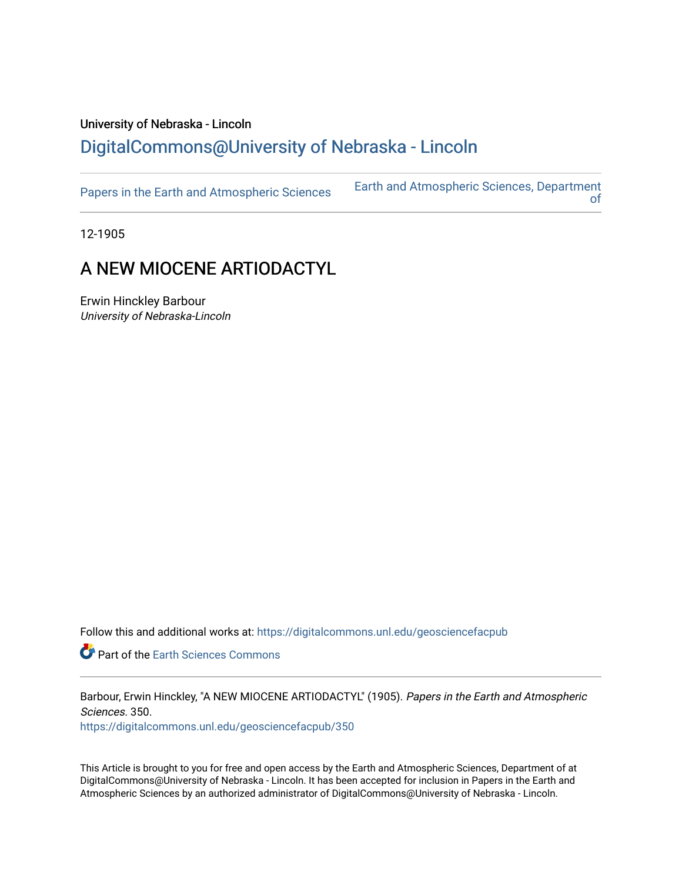## University of Nebraska - Lincoln [DigitalCommons@University of Nebraska - Lincoln](https://digitalcommons.unl.edu/)

| Papers in the Earth and Atmospheric Sciences | <b>Earth and Atmospheric Sciences, Department</b> |
|----------------------------------------------|---------------------------------------------------|
|----------------------------------------------|---------------------------------------------------|

12-1905

## A NEW MIOCENE ARTIODACTYL

Erwin Hinckley Barbour University of Nebraska-Lincoln

Follow this and additional works at: [https://digitalcommons.unl.edu/geosciencefacpub](https://digitalcommons.unl.edu/geosciencefacpub?utm_source=digitalcommons.unl.edu%2Fgeosciencefacpub%2F350&utm_medium=PDF&utm_campaign=PDFCoverPages)

Part of the [Earth Sciences Commons](http://network.bepress.com/hgg/discipline/153?utm_source=digitalcommons.unl.edu%2Fgeosciencefacpub%2F350&utm_medium=PDF&utm_campaign=PDFCoverPages) 

Barbour, Erwin Hinckley, "A NEW MIOCENE ARTIODACTYL" (1905). Papers in the Earth and Atmospheric Sciences. 350.

[https://digitalcommons.unl.edu/geosciencefacpub/350](https://digitalcommons.unl.edu/geosciencefacpub/350?utm_source=digitalcommons.unl.edu%2Fgeosciencefacpub%2F350&utm_medium=PDF&utm_campaign=PDFCoverPages)

This Article is brought to you for free and open access by the Earth and Atmospheric Sciences, Department of at DigitalCommons@University of Nebraska - Lincoln. It has been accepted for inclusion in Papers in the Earth and Atmospheric Sciences by an authorized administrator of DigitalCommons@University of Nebraska - Lincoln.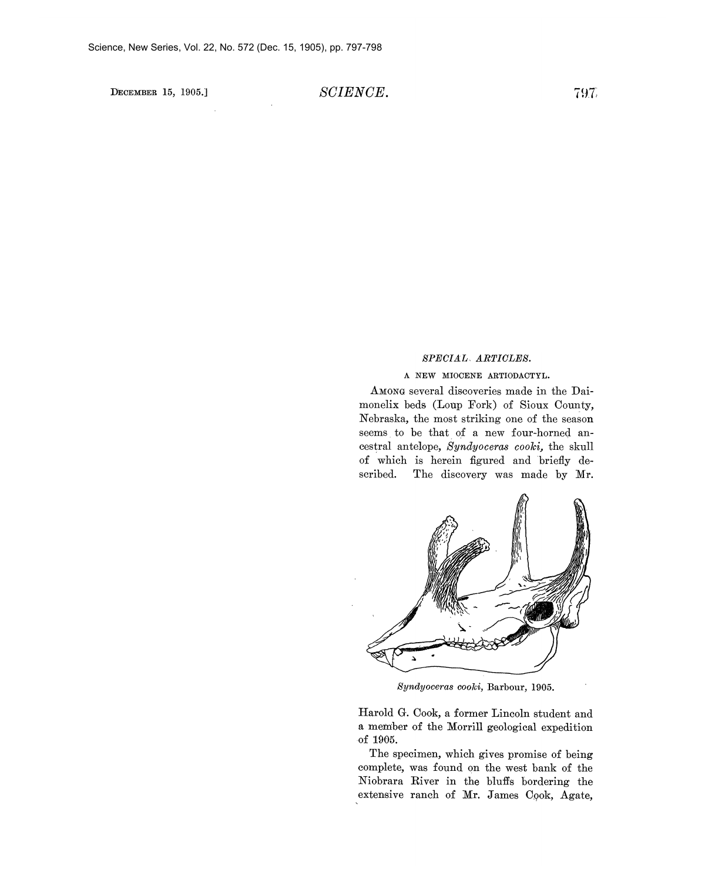**DECEMBER 15, 1905.] SCIENCE. 797** 

## **SPECIAL ARTICLES.**

## **A NEW MIOCENE ARTIODACTYL.**

**AMONG several discoveries made in the Dai**monelix beds (Loup Fork) of Sioux County, **Nebraska, the most striking one of the season seems to be that of a new four-horned ancestral antelope, Syndyoceras cooki, the skull of which is herein figured and briefly described. The discovery was made by Mr.** 



**Syndyoceras cooki, Barbour, 1905.** 

**Harold G. Cook, a former Lincoln student and a member of the Morrill geological expedition -of 1905.** 

**The specimen, which gives promise of being complete, was found on the west bank of the Niobrara River in the bluffs bordering the**  extensive ranch of Mr. James Cook, Agate,